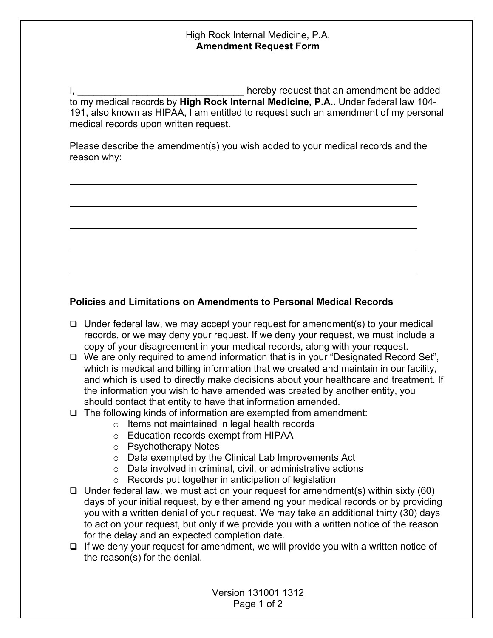## High Rock Internal Medicine, P.A. **Amendment Request Form**

I, **I**, **E** EXEC II **I** and the same of the set of the set of the set of the set of the set of the set of the set of the set of the set of the set of the set of the set of the set of the set of the set of the set of the se to my medical records by **High Rock Internal Medicine, P.A..** Under federal law 104- 191, also known as HIPAA, I am entitled to request such an amendment of my personal medical records upon written request.

Please describe the amendment(s) you wish added to your medical records and the reason why:

## **Policies and Limitations on Amendments to Personal Medical Records**

- $\Box$  Under federal law, we may accept your request for amendment(s) to your medical records, or we may deny your request. If we deny your request, we must include a copy of your disagreement in your medical records, along with your request.
- □ We are only required to amend information that is in your "Designated Record Set", which is medical and billing information that we created and maintain in our facility, and which is used to directly make decisions about your healthcare and treatment. If the information you wish to have amended was created by another entity, you should contact that entity to have that information amended.
- $\Box$  The following kinds of information are exempted from amendment:
	- o Items not maintained in legal health records
	- o Education records exempt from HIPAA
	- o Psychotherapy Notes
	- o Data exempted by the Clinical Lab Improvements Act
	- o Data involved in criminal, civil, or administrative actions
	- o Records put together in anticipation of legislation
- $\Box$  Under federal law, we must act on your request for amendment(s) within sixty (60) days of your initial request, by either amending your medical records or by providing you with a written denial of your request. We may take an additional thirty (30) days to act on your request, but only if we provide you with a written notice of the reason for the delay and an expected completion date.
- $\Box$  If we deny your request for amendment, we will provide you with a written notice of the reason(s) for the denial.

Version 131001 1312 Page 1 of 2